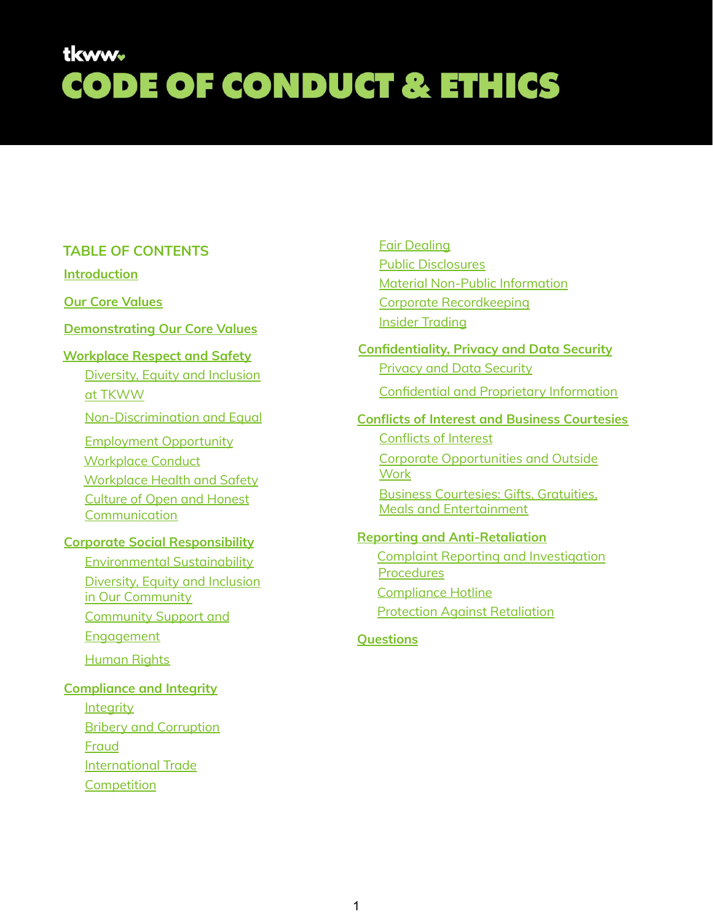#### **TABLE OF CONTENTS**

#### **[Introduction](#page-1-0)**

**Our Core [Values](#page-1-1)**

#### **[Demonstrating](#page-1-2) Our Core Values**

#### **[Workplace](#page-2-0) Respect and Safety**

[Diversity,](#page-2-1) Equity and Inclusion at [TKWW](#page-2-1)

[Non-Discrimination](#page-2-2) and Equal

[Employment](#page-2-2) Opportunity [Workplace](#page-2-3) Conduct [Workplace](#page-3-0) Health and Safety Culture of Open and [Honest](#page-3-1) **[Communication](#page-3-1)** 

#### **Corporate Social [Responsibility](#page-4-0)**

[Environmental](#page-4-1) Sustainability [Diversity,](#page-4-2) Equity and Inclusion in Our [Community](#page-4-2) [Community](#page-4-3) Support and **[Engagement](#page-4-3)** [Human](#page-4-4) Rights

#### **[Compliance](#page-5-0) and Integrity**

**[Integrity](#page-5-1)** Bribery and [Corruption](#page-5-2) [Fraud](#page-6-0) [International](#page-6-1) Trade **[Competition](#page-7-0)** 

Fair [Dealing](#page-7-1) Public [Disclosures](#page-8-0) Material Non-Public [Information](#page-8-1) Corporate [Recordkeeping](#page-8-2) Insider [Trading](#page-8-3)

#### **[Confidentiality,](#page-9-0) Privacy and Data Security** Privacy and Data [Security](#page-9-1)

[Confidential](#page-10-0) and Proprietary Information

#### **Conflicts of Interest and Business Courtesies**

[Conflicts](#page-11-0) of Interest Corporate [Opportunities](#page-11-1) and Outside **[Work](#page-11-1)** Business [Courtesies:](#page-12-0) Gifts, Gratuities, Meals and [Entertainment](#page-12-0)

#### **Reporting and [Anti-Retaliation](#page-13-0)**

Complaint Reporting and [Investigation](#page-13-1) **[Procedures](#page-13-1)** [Compliance](#page-13-2) Hotline Protection Against [Retaliation](#page-14-0)

#### **[Questions](#page-15-0)**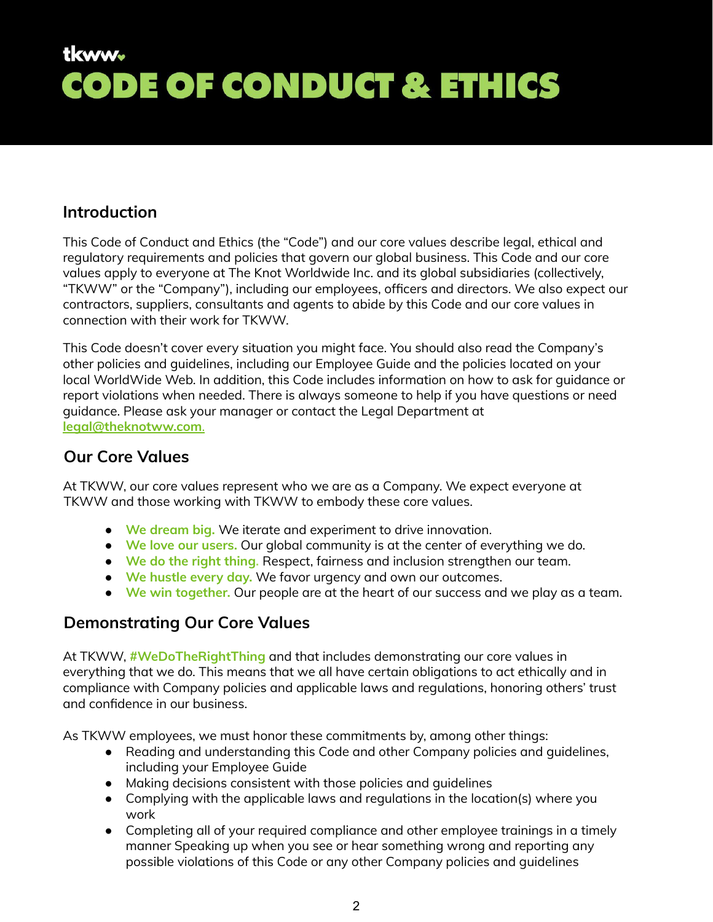### <span id="page-1-0"></span>**Introduction**

This Code of Conduct and Ethics (the "Code") and our core values describe legal, ethical and regulatory requirements and policies that govern our global business. This Code and our core values apply to everyone at The Knot Worldwide Inc. and its global subsidiaries (collectively, "TKWW" or the "Company"), including our employees, officers and directors. We also expect our contractors, suppliers, consultants and agents to abide by this Code and our core values in connection with their work for TKWW.

This Code doesn't cover every situation you might face. You should also read the Company's other policies and guidelines, including our Employee Guide and the policies located on your local WorldWide Web. In addition, this Code includes information on how to ask for guidance or report violations when needed. There is always someone to help if you have questions or need guidance. Please ask your manager or contact the Legal Department at **[legal@theknotww.com](mailto:legal@theknotww.com)**.

### <span id="page-1-1"></span>**Our Core Values**

At TKWW, our core values represent who we are as a Company. We expect everyone at TKWW and those working with TKWW to embody these core values.

- **We dream big.** We iterate and experiment to drive innovation.
- **We love our users.** Our global community is at the center of everything we do.
- **We do the right thing.** Respect, fairness and inclusion strengthen our team.
- **We hustle every day.** We favor urgency and own our outcomes.
- **We win together.** Our people are at the heart of our success and we play as a team.

### <span id="page-1-2"></span>**Demonstrating Our Core Values**

At TKWW, **#WeDoTheRightThing** and that includes demonstrating our core values in everything that we do. This means that we all have certain obligations to act ethically and in compliance with Company policies and applicable laws and regulations, honoring others' trust and confidence in our business.

As TKWW employees, we must honor these commitments by, among other things:

- Reading and understanding this Code and other Company policies and guidelines, including your Employee Guide
- Making decisions consistent with those policies and guidelines
- Complying with the applicable laws and regulations in the location(s) where you work
- Completing all of your required compliance and other employee trainings in a timely manner Speaking up when you see or hear something wrong and reporting any possible violations of this Code or any other Company policies and guidelines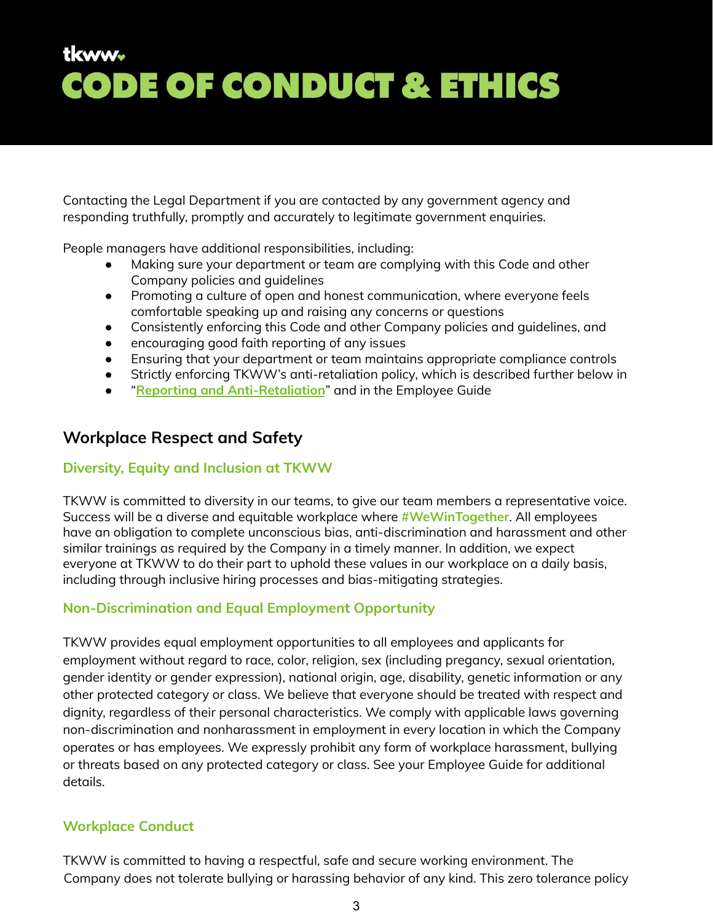Contacting the Legal Department if you are contacted by any government agency and responding truthfully, promptly and accurately to legitimate government enquiries.

People managers have additional responsibilities, including:

- Making sure your department or team are complying with this Code and other Company policies and guidelines
- Promoting a culture of open and honest communication, where everyone feels comfortable speaking up and raising any concerns or questions
- Consistently enforcing this Code and other Company policies and guidelines, and
- encouraging good faith reporting of any issues
- Ensuring that your department or team maintains appropriate compliance controls
- Strictly enforcing TKWW's anti-retaliation policy, which is described further below in
- "**Reporting and [Anti-Retaliation](#page-13-0)**" and in the Employee Guide

### <span id="page-2-0"></span>**Workplace Respect and Safety**

#### <span id="page-2-1"></span>**Diversity, Equity and Inclusion at TKWW**

TKWW is committed to diversity in our teams, to give our team members a representative voice. Success will be a diverse and equitable workplace where **#WeWinTogether**. All employees have an obligation to complete unconscious bias, anti-discrimination and harassment and other similar trainings as required by the Company in a timely manner. In addition, we expect everyone at TKWW to do their part to uphold these values in our workplace on a daily basis, including through inclusive hiring processes and bias-mitigating strategies.

### <span id="page-2-2"></span>**Non-Discrimination and Equal Employment Opportunity**

TKWW provides equal employment opportunities to all employees and applicants for employment without regard to race, color, religion, sex (including pregancy, sexual orientation, gender identity or gender expression), national origin, age, disability, genetic information or any other protected category or class. We believe that everyone should be treated with respect and dignity, regardless of their personal characteristics. We comply with applicable laws governing non-discrimination and nonharassment in employment in every location in which the Company operates or has employees. We expressly prohibit any form of workplace harassment, bullying or threats based on any protected category or class. See your Employee Guide for additional details.

### <span id="page-2-3"></span>**Workplace Conduct**

TKWW is committed to having a respectful, safe and secure working environment. The Company does not tolerate bullying or harassing behavior of any kind. This zero tolerance policy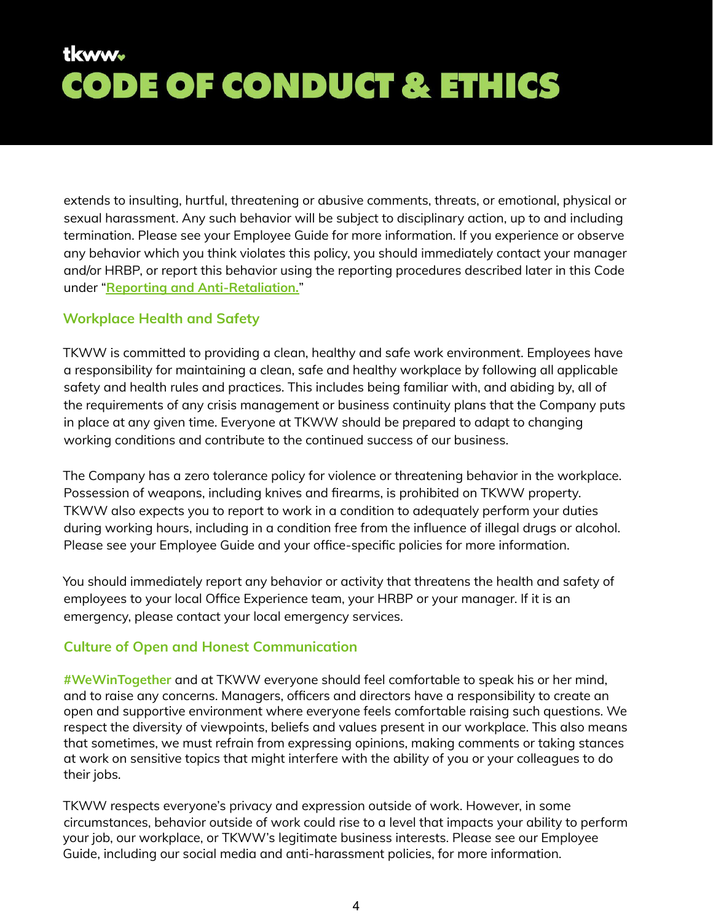extends to insulting, hurtful, threatening or abusive comments, threats, or emotional, physical or sexual harassment. Any such behavior will be subject to disciplinary action, up to and including termination. Please see your Employee Guide for more information. If you experience or observe any behavior which you think violates this policy, you should immediately contact your manager and/or HRBP, or report this behavior using the reporting procedures described later in this Code under "**Reporting and [Anti-Retaliation.](#page-13-0)**"

#### <span id="page-3-0"></span>**Workplace Health and Safety**

TKWW is committed to providing a clean, healthy and safe work environment. Employees have a responsibility for maintaining a clean, safe and healthy workplace by following all applicable safety and health rules and practices. This includes being familiar with, and abiding by, all of the requirements of any crisis management or business continuity plans that the Company puts in place at any given time. Everyone at TKWW should be prepared to adapt to changing working conditions and contribute to the continued success of our business.

The Company has a zero tolerance policy for violence or threatening behavior in the workplace. Possession of weapons, including knives and firearms, is prohibited on TKWW property. TKWW also expects you to report to work in a condition to adequately perform your duties during working hours, including in a condition free from the influence of illegal drugs or alcohol. Please see your Employee Guide and your office-specific policies for more information.

You should immediately report any behavior or activity that threatens the health and safety of employees to your local Office Experience team, your HRBP or your manager. If it is an emergency, please contact your local emergency services.

#### <span id="page-3-1"></span>**Culture of Open and Honest Communication**

**#WeWinTogether** and at TKWW everyone should feel comfortable to speak his or her mind, and to raise any concerns. Managers, officers and directors have a responsibility to create an open and supportive environment where everyone feels comfortable raising such questions. We respect the diversity of viewpoints, beliefs and values present in our workplace. This also means that sometimes, we must refrain from expressing opinions, making comments or taking stances at work on sensitive topics that might interfere with the ability of you or your colleagues to do their jobs.

TKWW respects everyone's privacy and expression outside of work. However, in some circumstances, behavior outside of work could rise to a level that impacts your ability to perform your job, our workplace, or TKWW's legitimate business interests. Please see our Employee Guide, including our social media and anti-harassment policies, for more information.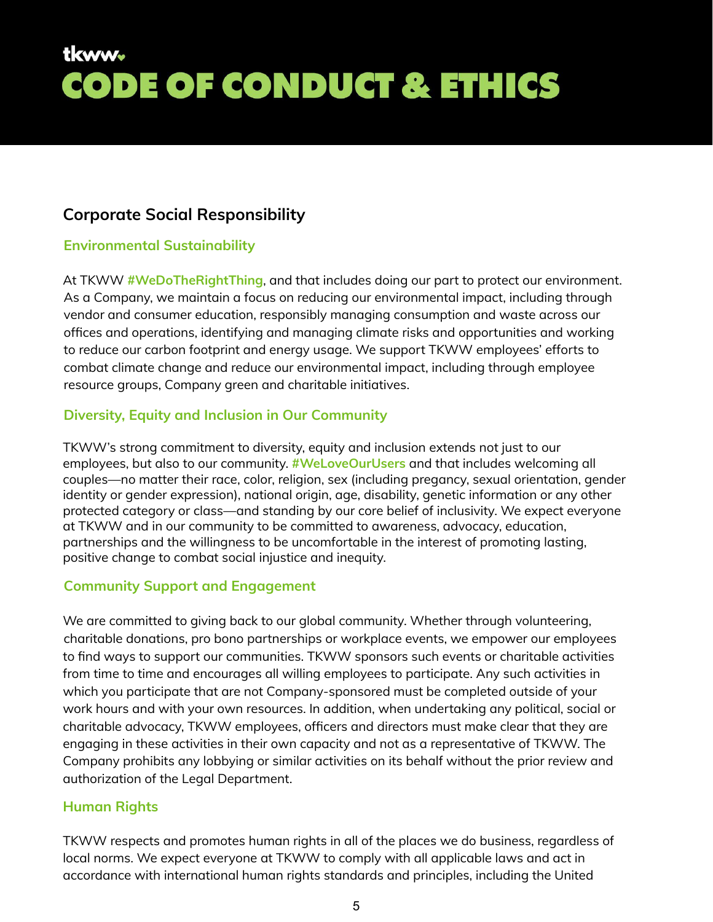### <span id="page-4-0"></span>**Corporate Social Responsibility**

#### <span id="page-4-1"></span>**Environmental Sustainability**

At TKWW **#WeDoTheRightThing**, and that includes doing our part to protect our environment. As a Company, we maintain a focus on reducing our environmental impact, including through vendor and consumer education, responsibly managing consumption and waste across our offices and operations, identifying and managing climate risks and opportunities and working to reduce our carbon footprint and energy usage. We support TKWW employees' efforts to combat climate change and reduce our environmental impact, including through employee resource groups, Company green and charitable initiatives.

#### <span id="page-4-2"></span>**Diversity, Equity and Inclusion in Our Community**

TKWW's strong commitment to diversity, equity and inclusion extends not just to our employees, but also to our community. **#WeLoveOurUsers** and that includes welcoming all couples—no matter their race, color, religion, sex (including pregancy, sexual orientation, gender identity or gender expression), national origin, age, disability, genetic information or any other protected category or class—and standing by our core belief of inclusivity. We expect everyone at TKWW and in our community to be committed to awareness, advocacy, education, partnerships and the willingness to be uncomfortable in the interest of promoting lasting, positive change to combat social injustice and inequity.

#### <span id="page-4-3"></span>**Community Support and Engagement**

We are committed to giving back to our global community. Whether through volunteering, charitable donations, pro bono partnerships or workplace events, we empower our employees to find ways to support our communities. TKWW sponsors such events or charitable activities from time to time and encourages all willing employees to participate. Any such activities in which you participate that are not Company-sponsored must be completed outside of your work hours and with your own resources. In addition, when undertaking any political, social or charitable advocacy, TKWW employees, officers and directors must make clear that they are engaging in these activities in their own capacity and not as a representative of TKWW. The Company prohibits any lobbying or similar activities on its behalf without the prior review and authorization of the Legal Department.

#### <span id="page-4-4"></span>**Human Rights**

TKWW respects and promotes human rights in all of the places we do business, regardless of local norms. We expect everyone at TKWW to comply with all applicable laws and act in accordance with international human rights standards and principles, including the United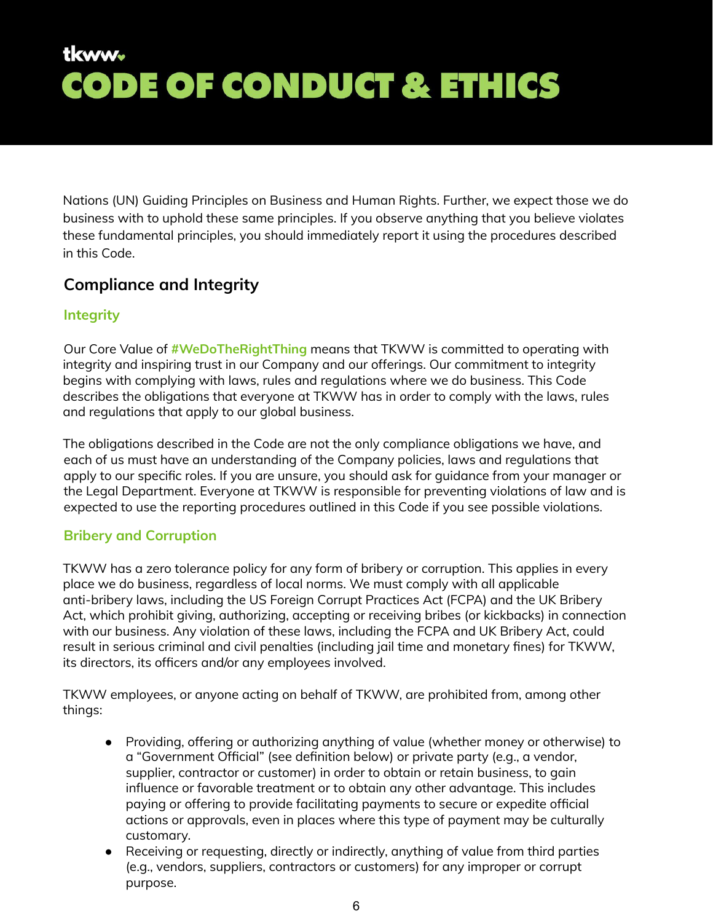Nations (UN) Guiding Principles on Business and Human Rights. Further, we expect those we do business with to uphold these same principles. If you observe anything that you believe violates these fundamental principles, you should immediately report it using the procedures described in this Code.

### <span id="page-5-0"></span>**Compliance and Integrity**

#### <span id="page-5-1"></span>**Integrity**

Our Core Value of **#WeDoTheRightThing** means that TKWW is committed to operating with integrity and inspiring trust in our Company and our offerings. Our commitment to integrity begins with complying with laws, rules and regulations where we do business. This Code describes the obligations that everyone at TKWW has in order to comply with the laws, rules and regulations that apply to our global business.

The obligations described in the Code are not the only compliance obligations we have, and each of us must have an understanding of the Company policies, laws and regulations that apply to our specific roles. If you are unsure, you should ask for guidance from your manager or the Legal Department. Everyone at TKWW is responsible for preventing violations of law and is expected to use the reporting procedures outlined in this Code if you see possible violations.

#### <span id="page-5-2"></span>**Bribery and Corruption**

TKWW has a zero tolerance policy for any form of bribery or corruption. This applies in every place we do business, regardless of local norms. We must comply with all applicable anti-bribery laws, including the US Foreign Corrupt Practices Act (FCPA) and the UK Bribery Act, which prohibit giving, authorizing, accepting or receiving bribes (or kickbacks) in connection with our business. Any violation of these laws, including the FCPA and UK Bribery Act, could result in serious criminal and civil penalties (including jail time and monetary fines) for TKWW, its directors, its officers and/or any employees involved.

TKWW employees, or anyone acting on behalf of TKWW, are prohibited from, among other things:

- Providing, offering or authorizing anything of value (whether money or otherwise) to a "Government Official" (see definition below) or private party (e.g., a vendor, supplier, contractor or customer) in order to obtain or retain business, to gain influence or favorable treatment or to obtain any other advantage. This includes paying or offering to provide facilitating payments to secure or expedite official actions or approvals, even in places where this type of payment may be culturally customary.
- Receiving or requesting, directly or indirectly, anything of value from third parties (e.g., vendors, suppliers, contractors or customers) for any improper or corrupt purpose.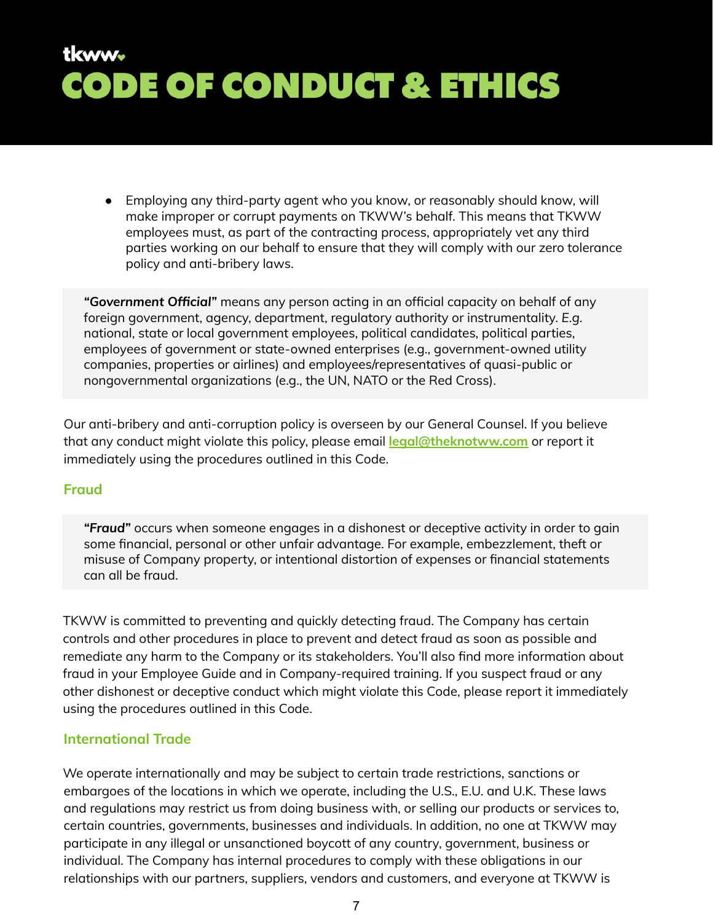● Employing any third-party agent who you know, or reasonably should know, will make improper or corrupt payments on TKWW's behalf. This means that TKWW employees must, as part of the contracting process, appropriately vet any third parties working on our behalf to ensure that they will comply with our zero tolerance policy and anti-bribery laws.

*"Government Official"* means any person acting in an official capacity on behalf of any foreign government, agency, department, regulatory authority or instrumentality. *E.g.* national, state or local government employees, political candidates, political parties, employees of government or state-owned enterprises (e.g., government-owned utility companies, properties or airlines) and employees/representatives of quasi-public or nongovernmental organizations (e.g., the UN, NATO or the Red Cross).

Our anti-bribery and anti-corruption policy is overseen by our General Counsel. If you believe that any conduct might violate this policy, please email **legal@theknotww.com** or report it immediately using the procedures outlined in this Code.

#### <span id="page-6-0"></span>**Fraud**

*"Fraud"* occurs when someone engages in a dishonest or deceptive activity in order to gain some financial, personal or other unfair advantage. For example, embezzlement, theft or misuse of Company property, or intentional distortion of expenses or financial statements can all be fraud.

TKWW is committed to preventing and quickly detecting fraud. The Company has certain controls and other procedures in place to prevent and detect fraud as soon as possible and remediate any harm to the Company or its stakeholders. You'll also find more information about fraud in your Employee Guide and in Company-required training. If you suspect fraud or any other dishonest or deceptive conduct which might violate this Code, please report it immediately using the procedures outlined in this Code.

#### <span id="page-6-1"></span>**International Trade**

We operate internationally and may be subject to certain trade restrictions, sanctions or embargoes of the locations in which we operate, including the U.S., E.U. and U.K. These laws and regulations may restrict us from doing business with, or selling our products or services to, certain countries, governments, businesses and individuals. In addition, no one at TKWW may participate in any illegal or unsanctioned boycott of any country, government, business or individual. The Company has internal procedures to comply with these obligations in our relationships with our partners, suppliers, vendors and customers, and everyone at TKWW is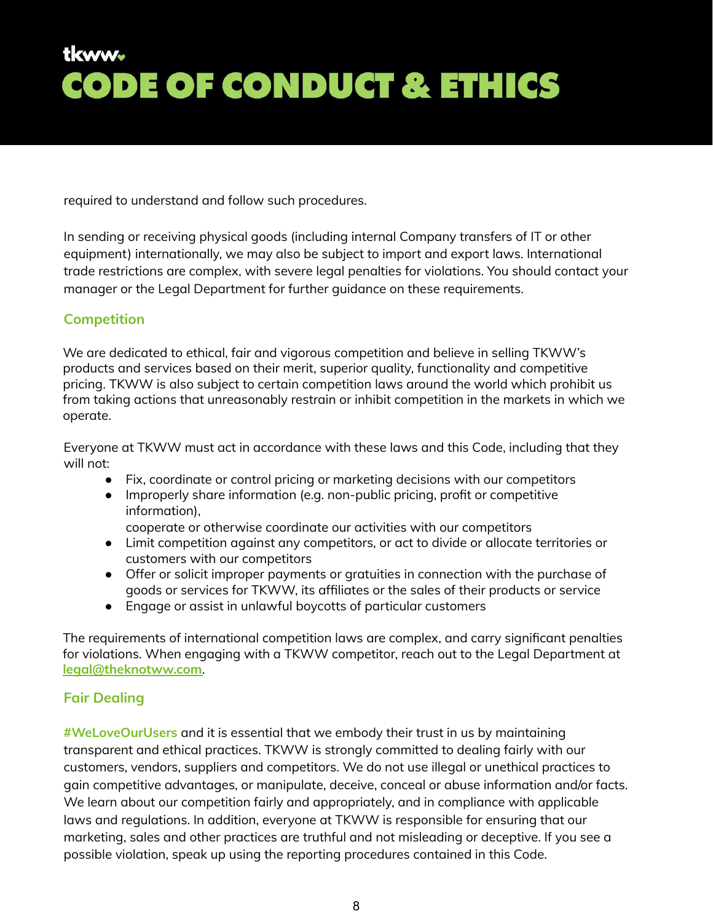required to understand and follow such procedures.

In sending or receiving physical goods (including internal Company transfers of IT or other equipment) internationally, we may also be subject to import and export laws. International trade restrictions are complex, with severe legal penalties for violations. You should contact your manager or the Legal Department for further guidance on these requirements.

#### <span id="page-7-0"></span>**Competition**

We are dedicated to ethical, fair and vigorous competition and believe in selling TKWW's products and services based on their merit, superior quality, functionality and competitive pricing. TKWW is also subject to certain competition laws around the world which prohibit us from taking actions that unreasonably restrain or inhibit competition in the markets in which we operate.

Everyone at TKWW must act in accordance with these laws and this Code, including that they will not:

- Fix, coordinate or control pricing or marketing decisions with our competitors
- Improperly share information (e.g. non-public pricing, profit or competitive information),

cooperate or otherwise coordinate our activities with our competitors

- Limit competition against any competitors, or act to divide or allocate territories or customers with our competitors
- Offer or solicit improper payments or gratuities in connection with the purchase of goods or services for TKWW, its affiliates or the sales of their products or service
- Engage or assist in unlawful boycotts of particular customers

The requirements of international competition laws are complex, and carry significant penalties for violations. When engaging with a TKWW competitor, reach out to the Legal Department at **[legal@theknotww.com](mailto:legal@theknotww.com)**.

#### <span id="page-7-1"></span>**Fair Dealing**

**#WeLoveOurUsers** and it is essential that we embody their trust in us by maintaining transparent and ethical practices. TKWW is strongly committed to dealing fairly with our customers, vendors, suppliers and competitors. We do not use illegal or unethical practices to gain competitive advantages, or manipulate, deceive, conceal or abuse information and/or facts. We learn about our competition fairly and appropriately, and in compliance with applicable laws and regulations. In addition, everyone at TKWW is responsible for ensuring that our marketing, sales and other practices are truthful and not misleading or deceptive. If you see a possible violation, speak up using the reporting procedures contained in this Code.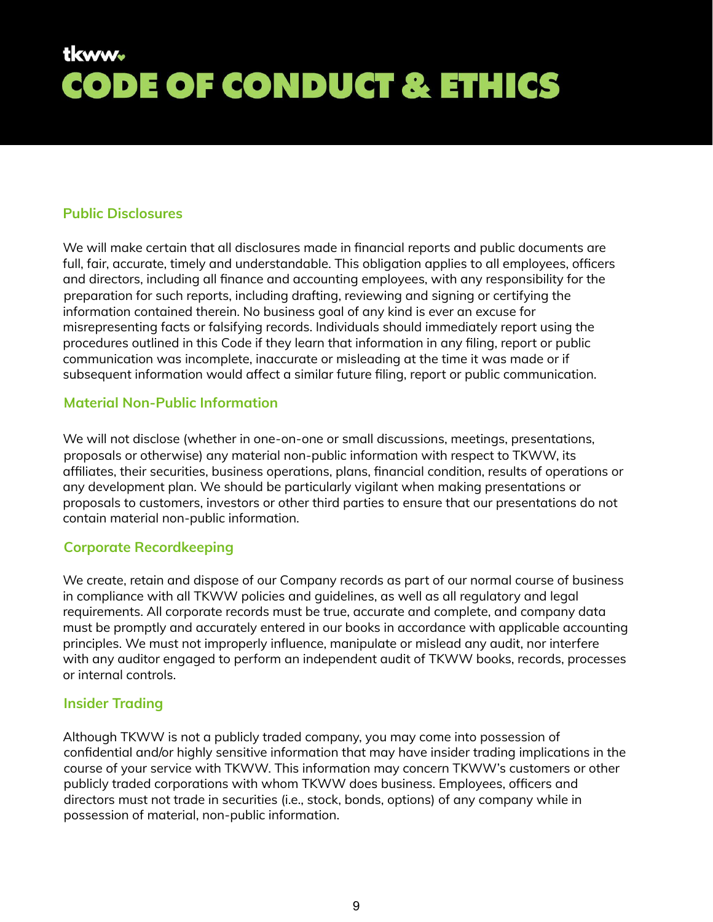#### <span id="page-8-0"></span>**Public Disclosures**

We will make certain that all disclosures made in financial reports and public documents are full, fair, accurate, timely and understandable. This obligation applies to all employees, officers and directors, including all finance and accounting employees, with any responsibility for the preparation for such reports, including drafting, reviewing and signing or certifying the information contained therein. No business goal of any kind is ever an excuse for misrepresenting facts or falsifying records. Individuals should immediately report using the procedures outlined in this Code if they learn that information in any filing, report or public communication was incomplete, inaccurate or misleading at the time it was made or if subsequent information would affect a similar future filing, report or public communication.

#### <span id="page-8-1"></span>**Material Non-Public Information**

We will not disclose (whether in one-on-one or small discussions, meetings, presentations, proposals or otherwise) any material non-public information with respect to TKWW, its affiliates, their securities, business operations, plans, financial condition, results of operations or any development plan. We should be particularly vigilant when making presentations or proposals to customers, investors or other third parties to ensure that our presentations do not contain material non-public information.

#### <span id="page-8-2"></span>**Corporate Recordkeeping**

We create, retain and dispose of our Company records as part of our normal course of business in compliance with all TKWW policies and guidelines, as well as all regulatory and legal requirements. All corporate records must be true, accurate and complete, and company data must be promptly and accurately entered in our books in accordance with applicable accounting principles. We must not improperly influence, manipulate or mislead any audit, nor interfere with any auditor engaged to perform an independent audit of TKWW books, records, processes or internal controls.

#### <span id="page-8-3"></span>**Insider Trading**

Although TKWW is not a publicly traded company, you may come into possession of confidential and/or highly sensitive information that may have insider trading implications in the course of your service with TKWW. This information may concern TKWW's customers or other publicly traded corporations with whom TKWW does business. Employees, officers and directors must not trade in securities (i.e., stock, bonds, options) of any company while in possession of material, non-public information.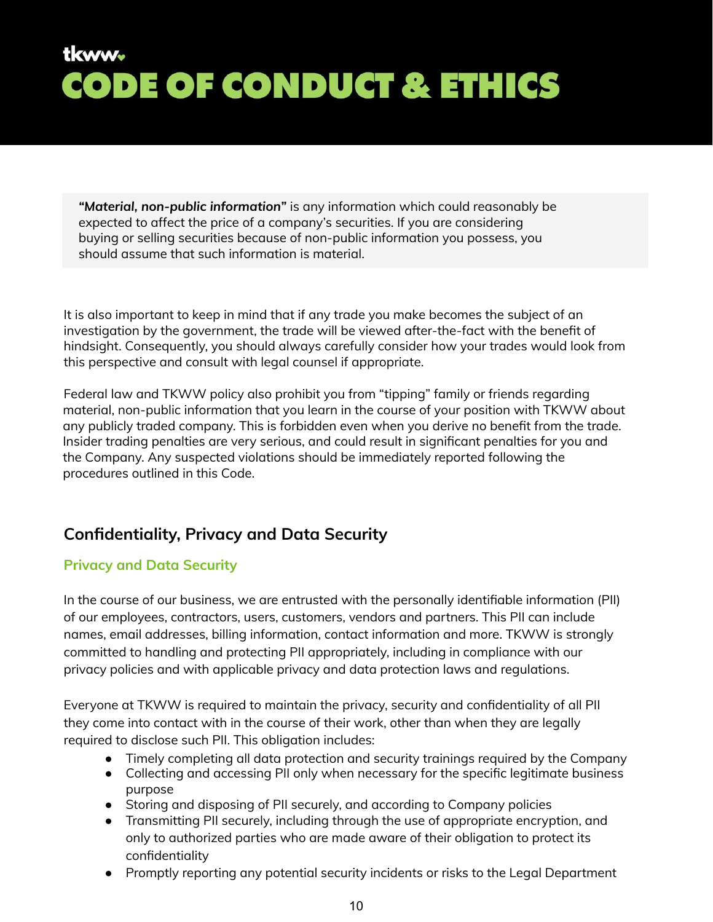*"Material, non-public information"* is any information which could reasonably be expected to affect the price of a company's securities. If you are considering buying or selling securities because of non-public information you possess, you should assume that such information is material.

It is also important to keep in mind that if any trade you make becomes the subject of an investigation by the government, the trade will be viewed after-the-fact with the benefit of hindsight. Consequently, you should always carefully consider how your trades would look from this perspective and consult with legal counsel if appropriate.

Federal law and TKWW policy also prohibit you from "tipping" family or friends regarding material, non-public information that you learn in the course of your position with TKWW about any publicly traded company. This is forbidden even when you derive no benefit from the trade. Insider trading penalties are very serious, and could result in significant penalties for you and the Company. Any suspected violations should be immediately reported following the procedures outlined in this Code.

### <span id="page-9-0"></span>**Confidentiality, Privacy and Data Security**

#### <span id="page-9-1"></span>**Privacy and Data Security**

In the course of our business, we are entrusted with the personally identifiable information (PII) of our employees, contractors, users, customers, vendors and partners. This PII can include names, email addresses, billing information, contact information and more. TKWW is strongly committed to handling and protecting PII appropriately, including in compliance with our privacy policies and with applicable privacy and data protection laws and regulations.

Everyone at TKWW is required to maintain the privacy, security and confidentiality of all PII they come into contact with in the course of their work, other than when they are legally required to disclose such PII. This obligation includes:

- Timely completing all data protection and security trainings required by the Company
- Collecting and accessing PII only when necessary for the specific legitimate business purpose
- Storing and disposing of PII securely, and according to Company policies
- Transmitting PII securely, including through the use of appropriate encryption, and only to authorized parties who are made aware of their obligation to protect its confidentiality
- Promptly reporting any potential security incidents or risks to the Legal Department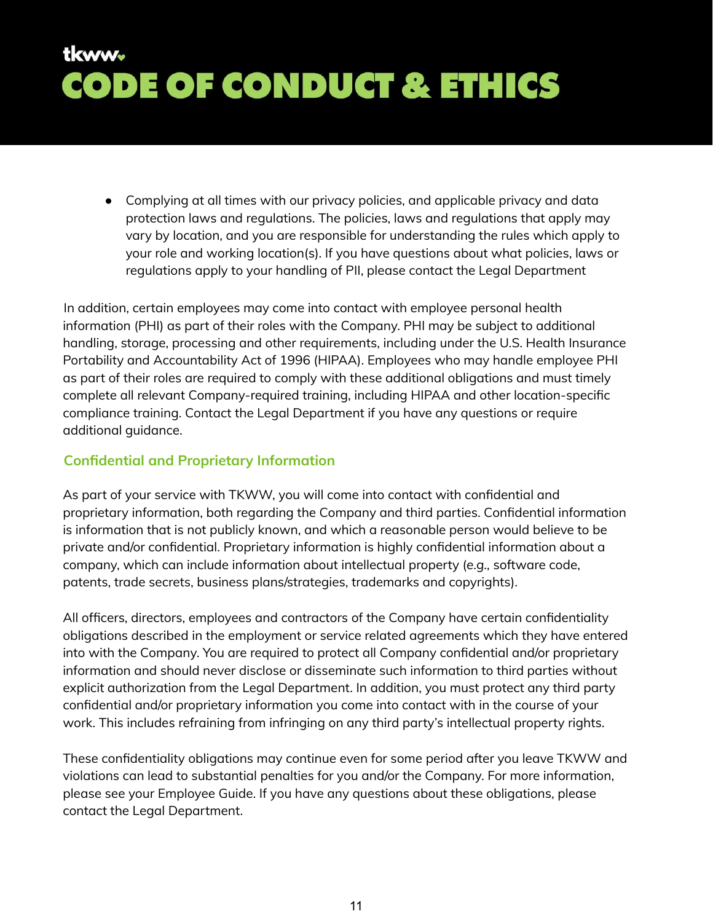● Complying at all times with our privacy policies, and applicable privacy and data protection laws and regulations. The policies, laws and regulations that apply may vary by location, and you are responsible for understanding the rules which apply to your role and working location(s). If you have questions about what policies, laws or regulations apply to your handling of PII, please contact the Legal Department

In addition, certain employees may come into contact with employee personal health information (PHI) as part of their roles with the Company. PHI may be subject to additional handling, storage, processing and other requirements, including under the U.S. Health Insurance Portability and Accountability Act of 1996 (HIPAA). Employees who may handle employee PHI as part of their roles are required to comply with these additional obligations and must timely complete all relevant Company-required training, including HIPAA and other location-specific compliance training. Contact the Legal Department if you have any questions or require additional guidance.

#### <span id="page-10-0"></span>**Confidential and Proprietary Information**

As part of your service with TKWW, you will come into contact with confidential and proprietary information, both regarding the Company and third parties. Confidential information is information that is not publicly known, and which a reasonable person would believe to be private and/or confidential. Proprietary information is highly confidential information about a company, which can include information about intellectual property (*e.g.,* software code, patents, trade secrets, business plans/strategies, trademarks and copyrights).

All officers, directors, employees and contractors of the Company have certain confidentiality obligations described in the employment or service related agreements which they have entered into with the Company. You are required to protect all Company confidential and/or proprietary information and should never disclose or disseminate such information to third parties without explicit authorization from the Legal Department. In addition, you must protect any third party confidential and/or proprietary information you come into contact with in the course of your work. This includes refraining from infringing on any third party's intellectual property rights.

These confidentiality obligations may continue even for some period after you leave TKWW and violations can lead to substantial penalties for you and/or the Company. For more information, please see your Employee Guide. If you have any questions about these obligations, please contact the Legal Department.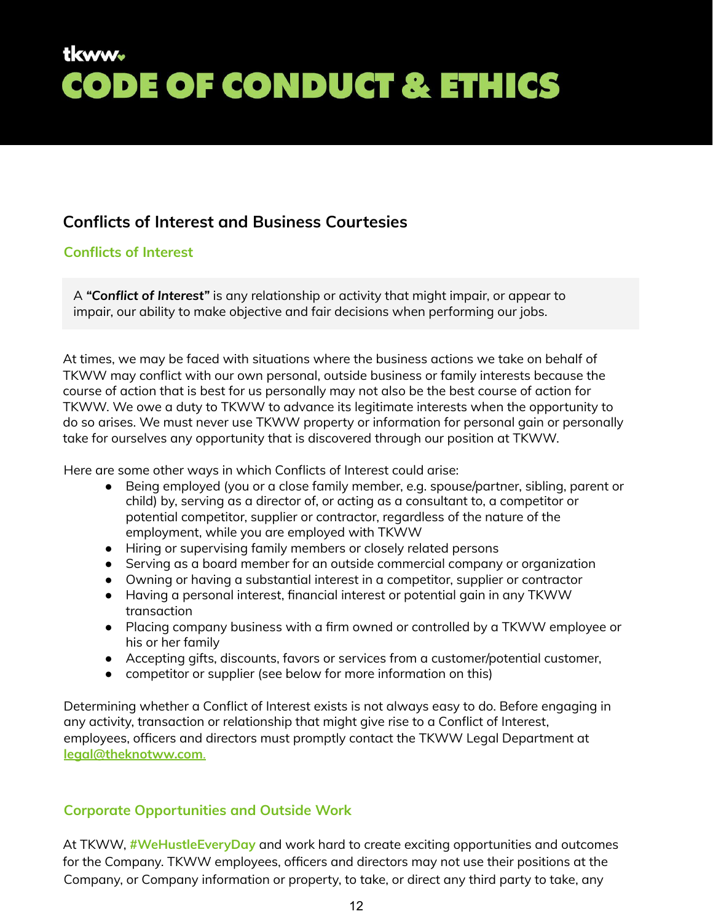### **Conflicts of Interest and Business Courtesies**

### <span id="page-11-0"></span>**Conflicts of Interest**

A *"Conflict of Interest"* is any relationship or activity that might impair, or appear to impair, our ability to make objective and fair decisions when performing our jobs.

At times, we may be faced with situations where the business actions we take on behalf of TKWW may conflict with our own personal, outside business or family interests because the course of action that is best for us personally may not also be the best course of action for TKWW. We owe a duty to TKWW to advance its legitimate interests when the opportunity to do so arises. We must never use TKWW property or information for personal gain or personally take for ourselves any opportunity that is discovered through our position at TKWW.

Here are some other ways in which Conflicts of Interest could arise:

- Being employed (you or a close family member, e.g. spouse/partner, sibling, parent or child) by, serving as a director of, or acting as a consultant to, a competitor or potential competitor, supplier or contractor, regardless of the nature of the employment, while you are employed with TKWW
- Hiring or supervising family members or closely related persons
- Serving as a board member for an outside commercial company or organization
- Owning or having a substantial interest in a competitor, supplier or contractor
- Having a personal interest, financial interest or potential gain in any TKWW transaction
- Placing company business with a firm owned or controlled by a TKWW employee or his or her family
- Accepting gifts, discounts, favors or services from a customer/potential customer,
- competitor or supplier (see below for more information on this)

Determining whether a Conflict of Interest exists is not always easy to do. Before engaging in any activity, transaction or relationship that might give rise to a Conflict of Interest, employees, officers and directors must promptly contact the TKWW Legal Department at **[legal@theknotww.com](mailto:legal@theknotww.com)**.

### <span id="page-11-1"></span>**Corporate Opportunities and Outside Work**

At TKWW, **#WeHustleEveryDay** and work hard to create exciting opportunities and outcomes for the Company. TKWW employees, officers and directors may not use their positions at the Company, or Company information or property, to take, or direct any third party to take, any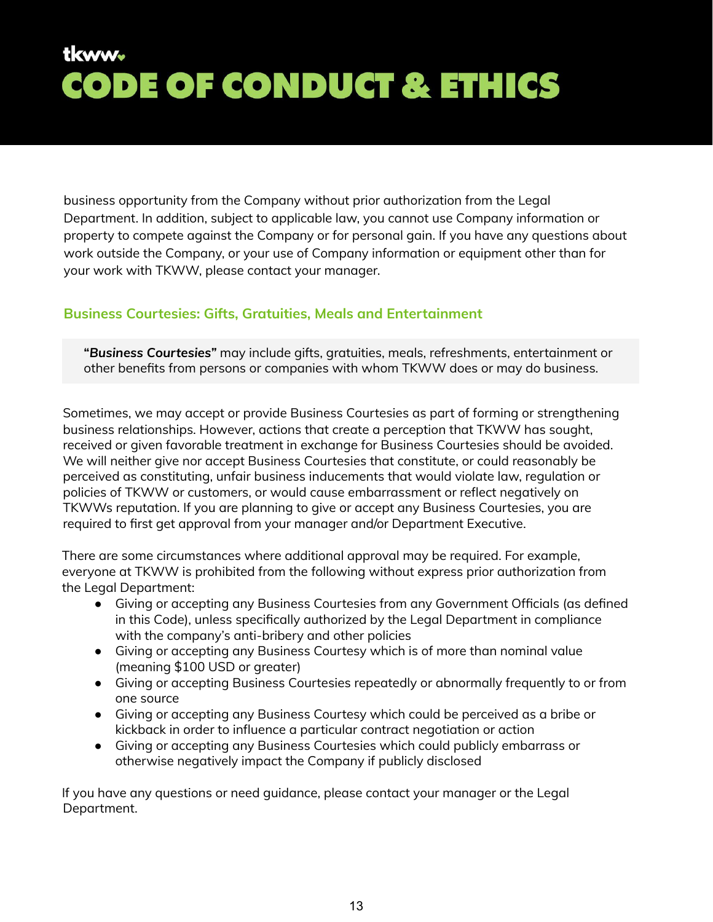business opportunity from the Company without prior authorization from the Legal Department. In addition, subject to applicable law, you cannot use Company information or property to compete against the Company or for personal gain. If you have any questions about work outside the Company, or your use of Company information or equipment other than for your work with TKWW, please contact your manager.

#### <span id="page-12-0"></span>**Business Courtesies: Gifts, Gratuities, Meals and Entertainment**

**"***Business Courtesies"* may include gifts, gratuities, meals, refreshments, entertainment or other benefits from persons or companies with whom TKWW does or may do business.

Sometimes, we may accept or provide Business Courtesies as part of forming or strengthening business relationships. However, actions that create a perception that TKWW has sought, received or given favorable treatment in exchange for Business Courtesies should be avoided. We will neither give nor accept Business Courtesies that constitute, or could reasonably be perceived as constituting, unfair business inducements that would violate law, regulation or policies of TKWW or customers, or would cause embarrassment or reflect negatively on TKWWs reputation. If you are planning to give or accept any Business Courtesies, you are required to first get approval from your manager and/or Department Executive.

There are some circumstances where additional approval may be required. For example, everyone at TKWW is prohibited from the following without express prior authorization from the Legal Department:

- Giving or accepting any Business Courtesies from any Government Officials (as defined in this Code), unless specifically authorized by the Legal Department in compliance with the company's anti-bribery and other policies
- Giving or accepting any Business Courtesy which is of more than nominal value (meaning \$100 USD or greater)
- Giving or accepting Business Courtesies repeatedly or abnormally frequently to or from one source
- Giving or accepting any Business Courtesy which could be perceived as a bribe or kickback in order to influence a particular contract negotiation or action
- Giving or accepting any Business Courtesies which could publicly embarrass or otherwise negatively impact the Company if publicly disclosed

If you have any questions or need guidance, please contact your manager or the Legal Department.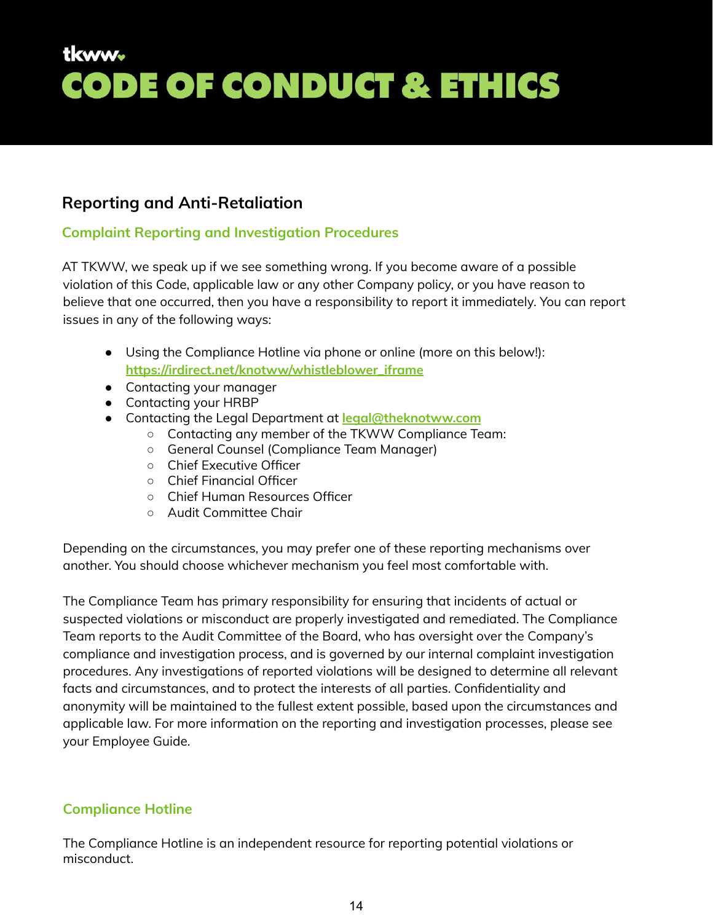### <span id="page-13-0"></span>**Reporting and Anti-Retaliation**

### <span id="page-13-1"></span>**Complaint Reporting and Investigation Procedures**

AT TKWW, we speak up if we see something wrong. If you become aware of a possible violation of this Code, applicable law or any other Company policy, or you have reason to believe that one occurred, then you have a responsibility to report it immediately. You can report issues in any of the following ways:

- Using the Compliance Hotline via phone or online (more on this below!): **[https://irdirect.net/knotww/whistleblower\\_iframe](https://irdirect.net/knotww/whistleblower_iframe)**
- Contacting your manager
- Contacting your HRBP
- Contacting the Legal Department at **[legal@theknotww.com](mailto:legal@theknotww.com)**
	- Contacting any member of the TKWW Compliance Team:
	- General Counsel (Compliance Team Manager)
	- Chief Executive Officer
	- Chief Financial Officer
	- Chief Human Resources Officer
	- Audit Committee Chair

Depending on the circumstances, you may prefer one of these reporting mechanisms over another. You should choose whichever mechanism you feel most comfortable with.

The Compliance Team has primary responsibility for ensuring that incidents of actual or suspected violations or misconduct are properly investigated and remediated. The Compliance Team reports to the Audit Committee of the Board, who has oversight over the Company's compliance and investigation process, and is governed by our internal complaint investigation procedures. Any investigations of reported violations will be designed to determine all relevant facts and circumstances, and to protect the interests of all parties. Confidentiality and anonymity will be maintained to the fullest extent possible, based upon the circumstances and applicable law. For more information on the reporting and investigation processes, please see your Employee Guide.

### <span id="page-13-2"></span>**Compliance Hotline**

The Compliance Hotline is an independent resource for reporting potential violations or misconduct.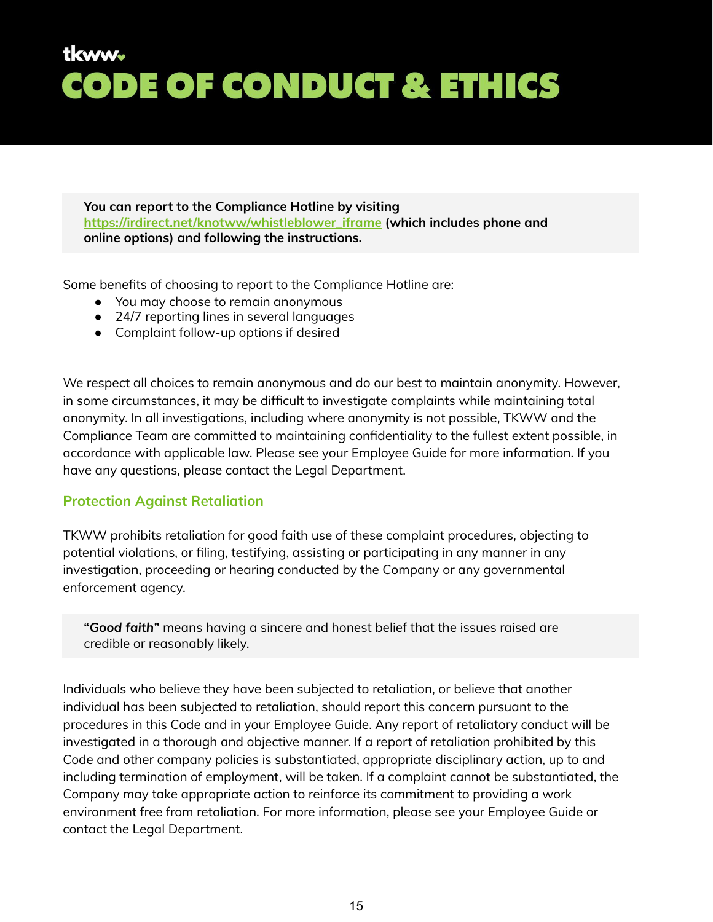**You can report to the Compliance Hotline by visiting [https://irdirect.net/knotww/whistleblower\\_iframe](https://irdirect.net/knotww/whistleblower_iframe) (which includes phone and online options) and following the instructions.**

Some benefits of choosing to report to the Compliance Hotline are:

- You may choose to remain anonymous
- 24/7 reporting lines in several languages
- Complaint follow-up options if desired

We respect all choices to remain anonymous and do our best to maintain anonymity. However, in some circumstances, it may be difficult to investigate complaints while maintaining total anonymity. In all investigations, including where anonymity is not possible, TKWW and the Compliance Team are committed to maintaining confidentiality to the fullest extent possible, in accordance with applicable law. Please see your Employee Guide for more information. If you have any questions, please contact the Legal Department.

#### <span id="page-14-0"></span>**Protection Against Retaliation**

TKWW prohibits retaliation for good faith use of these complaint procedures, objecting to potential violations, or filing, testifying, assisting or participating in any manner in any investigation, proceeding or hearing conducted by the Company or any governmental enforcement agency.

**"***Good faith"* means having a sincere and honest belief that the issues raised are credible or reasonably likely.

Individuals who believe they have been subjected to retaliation, or believe that another individual has been subjected to retaliation, should report this concern pursuant to the procedures in this Code and in your Employee Guide. Any report of retaliatory conduct will be investigated in a thorough and objective manner. If a report of retaliation prohibited by this Code and other company policies is substantiated, appropriate disciplinary action, up to and including termination of employment, will be taken. If a complaint cannot be substantiated, the Company may take appropriate action to reinforce its commitment to providing a work environment free from retaliation. For more information, please see your Employee Guide or contact the Legal Department.